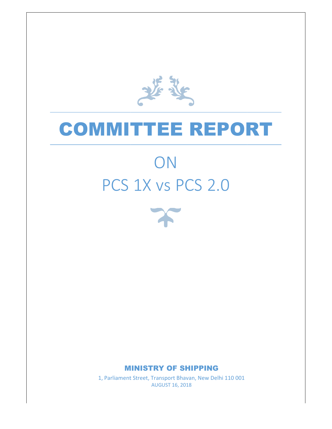基

## COMMITTEE REPORT

# PCS 1X vs PCS 2.0 2.0**ON**



### MINISTRY OF SHIPPING SHIPPING

1, Parliament Street, Transport Bhavan, New Delhi 110 001<br>AUGUST 16, 2018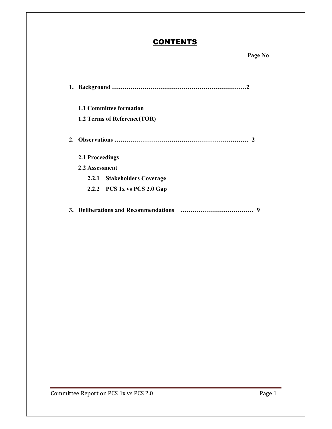### **CONTENTS**

| <b>1.1 Committee formation</b><br>1.2 Terms of Reference (TOR) |
|----------------------------------------------------------------|
|                                                                |
| 2.1 Proceedings                                                |
| 2.2 Assessment                                                 |
| 2.2.1 Stakeholders Coverage                                    |
| 2.2.2 PCS 1x vs PCS 2.0 Gap                                    |
| 9                                                              |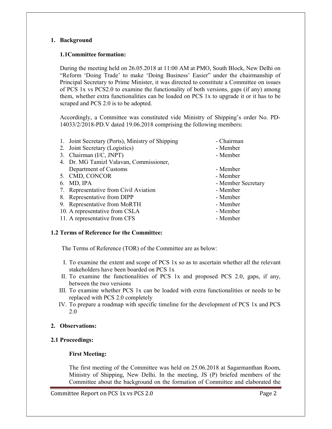#### 1. Background

#### 1.1Committee formation:

During the meeting held on 26.05.2018 at 11:00 AM at PMO, South Block, New Delhi on "Reform 'Doing Trade' to make 'Doing Business' Easier" under the chairmanship of Principal Secretary to Prime Minister, it was directed to constitute a Committee on issues of PCS 1x vs PCS2.0 to examine the functionality of both versions, gaps (if any) among them, whether extra functionalities can be loaded on PCS 1x to upgrade it or it has to be scraped and PCS 2.0 is to be adopted.

Accordingly, a Committee was constituted vide Ministry of Shipping's order No. PD-14033/2/2018-PD.V dated 19.06.2018 comprising the following members

| - Chairman         |
|--------------------|
| - Member           |
| - Member           |
|                    |
| - Member           |
| - Member           |
| - Member Secretary |
| - Member           |
| - Member           |
| - Member           |
| - Member           |
| - Member           |
|                    |

#### 1.2 Terms of Reference for the Committee:

The Terms of Reference (TOR) of the Committee are as below:

- I. To examine the extent and scope of PCS 1x so as to ascertain whether all the relevant stakeholders have been boarded on PCS 1x
- II. To examine the functionalities of PCS 1x and proposed PCS 2.0, gaps, if any, between the two versions
- III. To examine whether PCS 1x can be loaded with extra functionalities or needs to be replaced with PCS 2.0 completely
- IV. To prepare a roadmap with specific timeline for the development of PCS 1x and PCS 2.0

#### 2. Observations:

#### 2.1 Proceedings:

#### First Meeting:

The first meeting of the Committee was held on 25.06.2018 at Sagarmanthan Room, Ministry of Shipping, New Delhi. In the meeting, JS (P) briefed members of the Committee about the background on the formation of Committee and elaborated the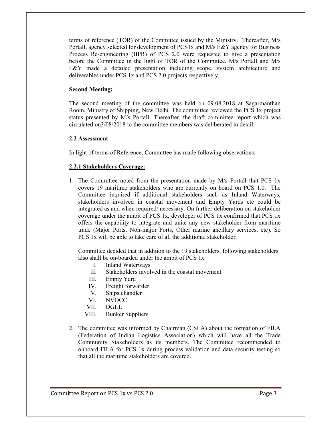terms of reference (TOR) of the Committee issued by the Ministry. Thereafter, M/s Portall, agency selected for development of PCS1x and M/s E&Y agency for Business Process Re-engineering (BPR) of PCS 2.0 were requested to give a presentation before the Committee in the light of TOR of the Committee. M/s Portall and M/s E&Y made a detailed presentation including scope, system architecture and deliverables under PCS 1x and PCS 2.0 projects respectively.

#### Second Meeting:

The second meeting of the committee was held on 09.08.2018 at Sagarmanthan Room, Ministry of Shipping, New Delhi. The committee reviewed the PCS 1x project status presented by M/s Portall. Thereafter, the draft committee report which was circulated on3/08/2018 to the committee members was deliberated in detail.

#### 2.2 Assessment

In light of terms of Reference, Committee has made following observations:

#### 2.2.1 Stakeholders Coverage:

1. The Committee noted from the presentation made by M/s Portall that PCS 1x covers 19 maritime stakeholders who are currently on board on PCS 1.0. The Committee inquired if additional stakeholders such as Inland Waterways, stakeholders involved in coastal movement and Empty Yards etc could be integrated as and when required/ necessary. On further deliberation on stakeholder coverage under the ambit of PCS 1x, developer of PCS 1x confirmed that PCS 1x offers the capability to integrate and unite any new stakeholder from maritime trade (Major Ports, Non-major Ports, Other marine ancillary services, etc). So PCS 1x will be able to take care of all the additional stakeholder.

Committee decided that in addition to the 19 stakeholders, following stakeholders also shall be on-boarded under the ambit of PCS 1x

- I. Inland Waterways
- II. Stakeholders involved in the coastal movement
- III. Empty Yard
- IV. Freight forwarder
- V. Ships chandler
- VI. NVOCC
- VII. DGLL
- VIII. Bunker Suppliers
- 2. The committee was informed by Chairman (CSLA) about the formation of FILA (Federation of Indian Logistics Association) which will have all the Trade Community Stakeholders as its members. The Committee recommended to onboard FILA for PCS 1x during process validation and data security testing so that all the maritime stakeholders are covered.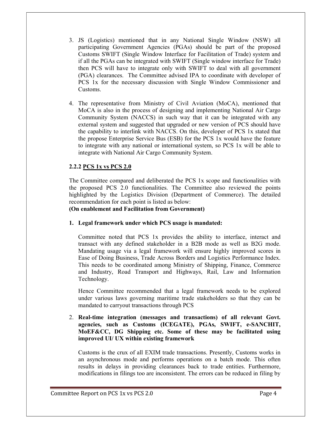- 3. JS (Logistics) mentioned that in any National Single Window (NSW) all participating Government Agencies (PGAs) should be part of the proposed Customs SWIFT (Single Window Interface for Facilitation of Trade) system and if all the PGAs can be integrated with SWIFT (Single window interface for Trade) then PCS will have to integrate only with SWIFT to deal with all government (PGA) clearances. The Committee advised IPA to coordinate with developer of PCS 1x for the necessary discussion with Single Window Commissioner and Customs.
- 4. The representative from Ministry of Civil Aviation (MoCA), mentioned that MoCA is also in the process of designing and implementing National Air Cargo Community System (NACCS) in such way that it can be integrated with any external system and suggested that upgraded or new version of PCS should have the capability to interlink with NACCS. On this, developer of PCS 1x stated that the propose Enterprise Service Bus (ESB) for the PCS 1x would have the feature to integrate with any national or international system, so PCS 1x will be able to integrate with National Air Cargo Community System.

#### 2.2.2 PCS 1x vs PCS 2.0

The Committee compared and deliberated the PCS 1x scope and functionalities with the proposed PCS 2.0 functionalities. The Committee also reviewed the points highlighted by the Logistics Division (Department of Commerce). The detailed recommendation for each point is listed as below:

(On enablement and Facilitation from Government)

1. Legal framework under which PCS usage is mandated:

Committee noted that PCS 1x provides the ability to interface, interact and transact with any defined stakeholder in a B2B mode as well as B2G mode. Mandating usage via a legal framework will ensure highly improved scores in Ease of Doing Business, Trade Across Borders and Logistics Performance Index. This needs to be coordinated among Ministry of Shipping, Finance, Commerce and Industry, Road Transport and Highways, Rail, Law and Information Technology.

Hence Committee recommended that a legal framework needs to be explored under various laws governing maritime trade stakeholders so that they can be mandated to carryout transactions through PCS

#### 2. Real-time integration (messages and transactions) of all relevant Govt. agencies, such as Customs (ICEGATE), PGAs, SWIFT, e-SANCHIT, MoEF&CC, DG Shipping etc. Some of these may be facilitated using improved UI/ UX within existing framework

Customs is the crux of all EXIM trade transactions. Presently, Customs works in an asynchronous mode and performs operations on a batch mode. This often results in delays in providing clearances back to trade entities. Furthermore, modifications in filings too are inconsistent. The errors can be reduced in filing by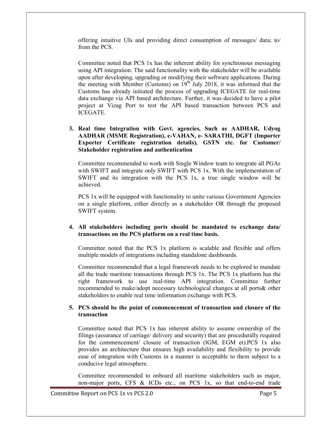offering intuitive UIs and providing direct consumption of messages/ data; to/ from the PCS.

Committee noted that PCS 1x has the inherent ability for synchronous messaging using API integration. The said functionality with the stakeholder will be available upon after developing, upgrading or modifying their software applications. During the meeting with Member (Customs) on  $19^{th}$  July 2018, it was informed that the Customs has already initiated the process of upgrading ICEGATE for real-time data exchange via API based architecture. Further, it was decided to have a pilot project at Vizag Port to test the API based transaction between PCS and ICEGATE.

3. Real time Integration with Govt. agencies, Such as AADHAR, Udyog AADHAR (MSME Registration), e-VAHAN, e- SARATHI, DGFT (Importer Exporter Certificate registration details), GSTN etc. for Customer/ Stakeholder registration and authentication

Committee recommended to work with Single Window team to integrate all PGAs with SWIFT and integrate only SWIFT with PCS 1x. With the implementation of SWIFT and its integration with the PCS 1x, a true single window will be achieved.

PCS 1x will be equipped with functionality to unite various Government Agencies on a single platform, either directly as a stakeholder OR through the proposed SWIFT system.

#### 4. All stakeholders including ports should be mandated to exchange data/ transactions on the PCS platform on a real time basis.

Committee noted that the PCS 1x platform is scalable and flexible and offers multiple models of integrations including standalone dashboards.

Committee recommended that a legal framework needs to be explored to mandate all the trade maritime transactions through PCS 1x. The PCS 1x platform has the right framework to use real-time API integration. Committee further recommended to make/adopt necessary technological changes at all ports& other stakeholders to enable real time information exchange with PCS.

#### 5. PCS should be the point of commencement of transaction and closure of the transaction

Committee noted that PCS 1x has inherent ability to assume ownership of the filings (assurance of carriage/ delivery and security) that are procedurally required for the commencement/ closure of transaction (IGM, EGM et).PCS 1x also provides an architecture that ensures high availability and flexibility to provide ease of integration with Customs in a manner is acceptable to them subject to a conducive legal atmosphere.

Committee recommended to onboard all maritime stakeholders such as major, non-major ports, CFS & ICDs etc., on PCS 1x, so that end-to-end trade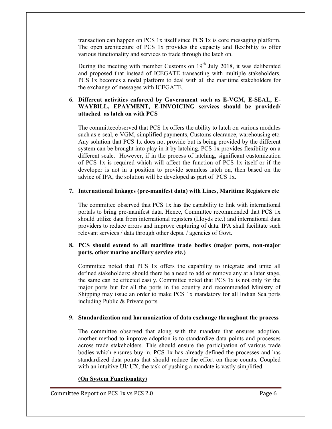transaction can happen on PCS 1x itself since PCS 1x is core messaging platform. The open architecture of PCS 1x provides the capacity and flexibility to offer various functionality and services to trade through the latch on.

During the meeting with member Customs on  $19<sup>th</sup>$  July 2018, it was deliberated and proposed that instead of ICEGATE transacting with multiple stakeholders, PCS 1x becomes a nodal platform to deal with all the maritime stakeholders for the exchange of messages with ICEGATE.

#### 6. Different activities enforced by Government such as E-VGM, E-SEAL, E-WAYBILL, EPAYMENT, E-INVOICING services should be provided/ attached as latch on with PCS

The committeeobserved that PCS 1x offers the ability to latch on various modules such as e-seal, e-VGM, simplified payments, Customs clearance, warehousing etc. Any solution that PCS 1x does not provide but is being provided by the different system can be brought into play in it by latching. PCS 1x provides flexibility on a different scale. However, if in the process of latching, significant customization of PCS 1x is required which will affect the function of PCS 1x itself or if the developer is not in a position to provide seamless latch on, then based on the advice of IPA, the solution will be developed as part of PCS 1x.

#### 7. International linkages (pre-manifest data) with Lines, Maritime Registers etc

The committee observed that PCS 1x has the capability to link with international portals to bring pre-manifest data. Hence, Committee recommended that PCS 1x should utilize data from international registers (Lloyds etc.) and international data providers to reduce errors and improve capturing of data. IPA shall facilitate such relevant services / data through other depts. / agencies of Govt.

#### 8. PCS should extend to all maritime trade bodies (major ports, non-major ports, other marine ancillary service etc.)

Committee noted that PCS 1x offers the capability to integrate and unite all defined stakeholders; should there be a need to add or remove any at a later stage, the same can be effected easily. Committee noted that PCS 1x is not only for the major ports but for all the ports in the country and recommended Ministry of Shipping may issue an order to make PCS 1x mandatory for all Indian Sea ports including Public & Private ports.

#### 9. Standardization and harmonization of data exchange throughout the process

The committee observed that along with the mandate that ensures adoption, another method to improve adoption is to standardize data points and processes across trade stakeholders. This should ensure the participation of various trade bodies which ensures buy-in. PCS 1x has already defined the processes and has standardized data points that should reduce the effort on those counts. Coupled with an intuitive UI/ UX, the task of pushing a mandate is vastly simplified.

#### (On System Functionality)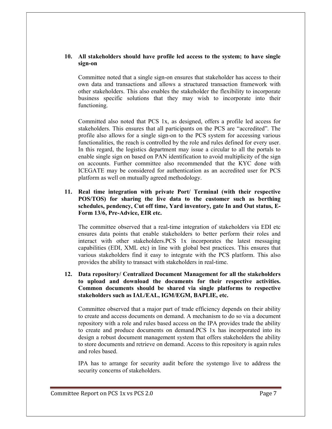#### 10. All stakeholders should have profile led access to the system; to have single sign-on

Committee noted that a single sign-on ensures that stakeholder has access to their own data and transactions and allows a structured transaction framework with other stakeholders. This also enables the stakeholder the flexibility to incorporate business specific solutions that they may wish to incorporate into their functioning.

Committed also noted that PCS 1x, as designed, offers a profile led access for stakeholders. This ensures that all participants on the PCS are "accredited". The profile also allows for a single sign-on to the PCS system for accessing various functionalities, the reach is controlled by the role and rules defined for every user. In this regard, the logistics department may issue a circular to all the portals to enable single sign on based on PAN identification to avoid multiplicity of the sign on accounts. Further committee also recommended that the KYC done with ICEGATE may be considered for authentication as an accredited user for PCS platform as well on mutually agreed methodology.

#### 11. Real time integration with private Port/ Terminal (with their respective POS/TOS) for sharing the live data to the customer such as berthing schedules, pendency, Cut off time, Yard inventory, gate In and Out status, E-Form 13/6, Pre-Advice, EIR etc.

The committee observed that a real-time integration of stakeholders via EDI etc ensures data points that enable stakeholders to better perform their roles and interact with other stakeholders.PCS 1x incorporates the latest messaging capabilities (EDI, XML etc) in line with global best practices. This ensures that various stakeholders find it easy to integrate with the PCS platform. This also provides the ability to transact with stakeholders in real-time.

#### 12. Data repository/ Centralized Document Management for all the stakeholders to upload and download the documents for their respective activities. Common documents should be shared via single platforms to respective stakeholders such as IAL/EAL, IGM/EGM, BAPLIE, etc.

Committee observed that a major part of trade efficiency depends on their ability to create and access documents on demand. A mechanism to do so via a document repository with a role and rules based access on the IPA provides trade the ability to create and produce documents on demand.PCS 1x has incorporated into its design a robust document management system that offers stakeholders the ability to store documents and retrieve on demand. Access to this repository is again rules and roles based.

IPA has to arrange for security audit before the systemgo live to address the security concerns of stakeholders.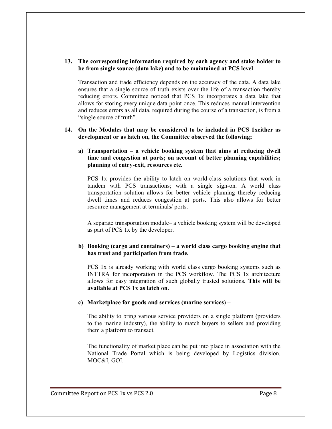#### 13. The corresponding information required by each agency and stake holder to be from single source (data lake) and to be maintained at PCS level

Transaction and trade efficiency depends on the accuracy of the data. A data lake ensures that a single source of truth exists over the life of a transaction thereby reducing errors. Committee noticed that PCS 1x incorporates a data lake that allows for storing every unique data point once. This reduces manual intervention and reduces errors as all data, required during the course of a transaction, is from a "single source of truth".

#### 14. On the Modules that may be considered to be included in PCS 1xeither as development or as latch on, the Committee observed the following;

#### a) Transportation – a vehicle booking system that aims at reducing dwell time and congestion at ports; on account of better planning capabilities; planning of entry-exit, resources etc.

PCS 1x provides the ability to latch on world-class solutions that work in tandem with PCS transactions; with a single sign-on. A world class transportation solution allows for better vehicle planning thereby reducing dwell times and reduces congestion at ports. This also allows for better resource management at terminals/ ports.

A separate transportation module– a vehicle booking system will be developed as part of PCS 1x by the developer.

#### b) Booking (cargo and containers) – a world class cargo booking engine that has trust and participation from trade.

PCS 1x is already working with world class cargo booking systems such as INTTRA for incorporation in the PCS workflow. The PCS 1x architecture allows for easy integration of such globally trusted solutions. This will be available at PCS 1x as latch on.

#### c) Marketplace for goods and services (marine services) –

The ability to bring various service providers on a single platform (providers to the marine industry), the ability to match buyers to sellers and providing them a platform to transact.

The functionality of market place can be put into place in association with the National Trade Portal which is being developed by Logistics division, MOC&I, GOI.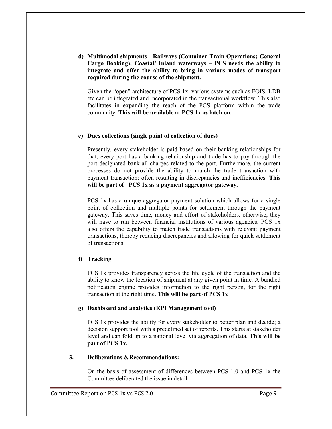d) Multimodal shipments - Railways (Container Train Operations; General Cargo Booking); Coastal/ Inland waterways – PCS needs the ability to integrate and offer the ability to bring in various modes of transport required during the course of the shipment.

Given the "open" architecture of PCS 1x, various systems such as FOIS, LDB etc can be integrated and incorporated in the transactional workflow. This also facilitates in expanding the reach of the PCS platform within the trade community. This will be available at PCS 1x as latch on.

#### e) Dues collections (single point of collection of dues)

Presently, every stakeholder is paid based on their banking relationships for that, every port has a banking relationship and trade has to pay through the port designated bank all charges related to the port. Furthermore, the current processes do not provide the ability to match the trade transaction with payment transaction; often resulting in discrepancies and inefficiencies. This will be part of PCS 1x as a payment aggregator gateway.

PCS 1x has a unique aggregator payment solution which allows for a single point of collection and multiple points for settlement through the payment gateway. This saves time, money and effort of stakeholders, otherwise, they will have to run between financial institutions of various agencies. PCS 1x also offers the capability to match trade transactions with relevant payment transactions, thereby reducing discrepancies and allowing for quick settlement of transactions.

#### f) Tracking

PCS 1x provides transparency across the life cycle of the transaction and the ability to know the location of shipment at any given point in time. A bundled notification engine provides information to the right person, for the right transaction at the right time. This will be part of PCS 1x

#### g) Dashboard and analytics (KPI Management tool)

PCS 1x provides the ability for every stakeholder to better plan and decide; a decision support tool with a predefined set of reports. This starts at stakeholder level and can fold up to a national level via aggregation of data. This will be part of PCS 1x.

#### 3. Deliberations &Recommendations:

On the basis of assessment of differences between PCS 1.0 and PCS 1x the Committee deliberated the issue in detail.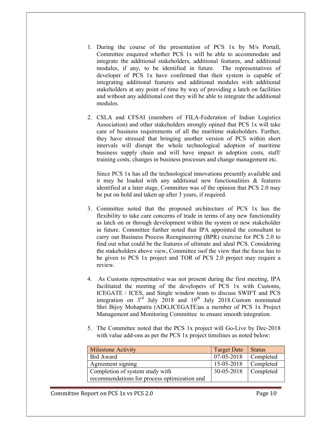- 1. During the course of the presentation of PCS 1x by M/s Portall, Committee enquired whether PCS 1x will be able to accommodate and integrate the additional stakeholders, additional features, and additional modules, if any, to be identified in future. The representatives of developer of PCS 1x have confirmed that their system is capable of integrating additional features and additional modules with additional stakeholders at any point of time by way of providing a latch on facilities and without any additional cost they will be able to integrate the additional modules.
- 2. CSLA and CFSAI (members of FILA-Federation of Indian Logistics Association) and other stakeholders strongly opined that PCS 1x will take care of business requirements of all the maritime stakeholders. Further, they have stressed that bringing another version of PCS within short intervals will disrupt the whole technological adoption of maritime business supply chain and will have impact in adoption costs, staff/ training costs, changes in business processes and change management etc.

Since PCS 1x has all the technological innovations presently available and it may be loaded with any additional new functionalities & features identified at a later stage, Committee was of the opinion that PCS 2.0 may be put on hold and taken up after 3 years, if required.

- 3. Committee noted that the proposed architecture of PCS 1x has the flexibility to take care concerns of trade in terms of any new functionality as latch on or through development within the system or new stakeholder in future. Committee further noted that IPA appointed the consultant to carry out Business Process Reengineering (BPR) exercise for PCS 2.0 to find out what could be the features of ultimate and ideal PCS. Considering the stakeholders above view, Committee isof the view that the focus has to be given to PCS 1x project and TOR of PCS 2.0 project may require a review.
- 4. As Customs representative was not present during the first meeting, IPA facilitated the meeting of the developers of PCS 1x with Customs, ICEGATE / ICES, and Single window team to discuss SWIFT and PCS integration on  $3^{rd}$  July 2018 and 19<sup>th</sup> July 2018.Custom nominated Shri Bijoy Mohapatra (ADG,ICEGATE)as a member of PCS 1x Project Management and Monitoring Committee to ensure smooth integration.
- 5. The Committee noted that the PCS 1x project will Go-Live by Dec-2018 with value add-ons as per the PCS 1x project timelines as noted below:

| <b>Milestone Activity</b>                    | <b>Target Date</b> | <b>Status</b> |
|----------------------------------------------|--------------------|---------------|
| Bid Award                                    | 07-05-2018         | Completed     |
| Agreement signing                            | 15-05-2018         | Completed     |
| Completion of system study with              | 30-05-2018         | Completed     |
| recommendations for process optimization and |                    |               |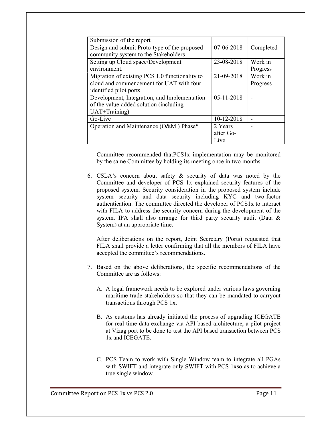| Submission of the report                       |            |           |
|------------------------------------------------|------------|-----------|
| Design and submit Proto-type of the proposed   | 07-06-2018 | Completed |
| community system to the Stakeholders           |            |           |
| Setting up Cloud space/Development             | 23-08-2018 | Work in   |
| environment.                                   |            | Progress  |
| Migration of existing PCS 1.0 functionality to | 21-09-2018 | Work in   |
| cloud and commencement for UAT with four       |            | Progress  |
| identified pilot ports                         |            |           |
| Development, Integration, and Implementation   | 05-11-2018 |           |
| of the value-added solution (including         |            |           |
| UAT+Training)                                  |            |           |
| Go-Live                                        | 10-12-2018 |           |
| Operation and Maintenance (O&M) Phase*         | 2 Years    |           |
|                                                | after Go-  |           |
|                                                | Live       |           |

Committee recommended thatPCS1x implementation may be monitored by the same Committee by holding its meeting once in two months

6. CSLA's concern about safety & security of data was noted by the Committee and developer of PCS 1x explained security features of the proposed system. Security consideration in the proposed system include system security and data security including KYC and two-factor authentication. The committee directed the developer of PCS1x to interact with FILA to address the security concern during the development of the system. IPA shall also arrange for third party security audit (Data & System) at an appropriate time.

After deliberations on the report, Joint Secretary (Ports) requested that FILA shall provide a letter confirming that all the members of FILA have accepted the committee's recommendations.

- 7. Based on the above deliberations, the specific recommendations of the Committee are as follows:
	- A. A legal framework needs to be explored under various laws governing maritime trade stakeholders so that they can be mandated to carryout transactions through PCS 1x.
	- B. As customs has already initiated the process of upgrading ICEGATE for real time data exchange via API based architecture, a pilot project at Vizag port to be done to test the API based transaction between PCS 1x and ICEGATE.
	- C. PCS Team to work with Single Window team to integrate all PGAs with SWIFT and integrate only SWIFT with PCS 1xso as to achieve a true single window.